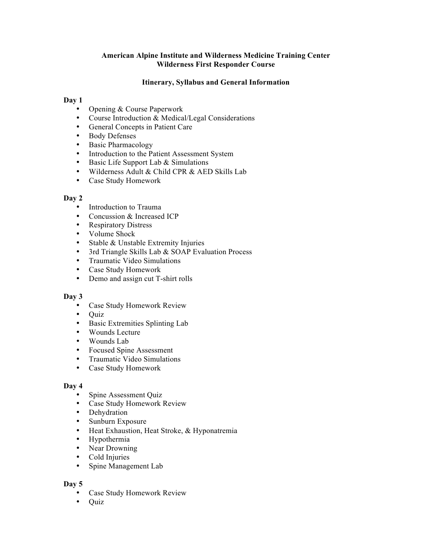# **American Alpine Institute and Wilderness Medicine Training Center Wilderness First Responder Course**

# **Itinerary, Syllabus and General Information**

### **Day 1**

- Opening & Course Paperwork
- Course Introduction & Medical/Legal Considerations
- General Concepts in Patient Care
- Body Defenses
- Basic Pharmacology
- Introduction to the Patient Assessment System
- Basic Life Support Lab & Simulations
- Wilderness Adult & Child CPR & AED Skills Lab
- Case Study Homework

## **Day 2**

- Introduction to Trauma
- Concussion & Increased ICP
- Respiratory Distress
- Volume Shock
- Stable & Unstable Extremity Injuries
- 3rd Triangle Skills Lab & SOAP Evaluation Process
- Traumatic Video Simulations
- Case Study Homework
- Demo and assign cut T-shirt rolls

### **Day 3**

- Case Study Homework Review
- Quiz
- Basic Extremities Splinting Lab
- Wounds Lecture
- Wounds Lab
- Focused Spine Assessment
- Traumatic Video Simulations
- Case Study Homework

#### **Day 4**

- Spine Assessment Quiz
- Case Study Homework Review
- Dehydration
- Sunburn Exposure
- Heat Exhaustion, Heat Stroke, & Hyponatremia
- Hypothermia
- Near Drowning
- Cold Injuries<br>• Spine Manage
- Spine Management Lab

#### **Day 5**

- Case Study Homework Review
- Quiz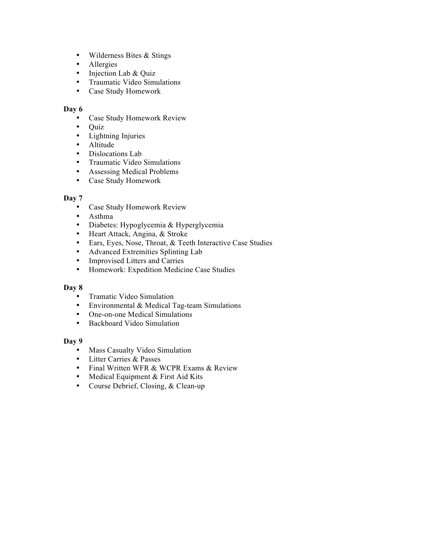- Wilderness Bites & Stings
- Allergies
- Injection Lab & Quiz
- Traumatic Video Simulations
- Case Study Homework

# **Day 6**

- Case Study Homework Review
- Quiz
- Lightning Injuries
- Altitude
- Dislocations Lab
- Traumatic Video Simulations
- Assessing Medical Problems
- Case Study Homework

## **Day 7**

- Case Study Homework Review
- Asthma
- Diabetes: Hypoglycemia & Hyperglycemia
- Heart Attack, Angina, & Stroke
- Ears, Eyes, Nose, Throat, & Teeth Interactive Case Studies
- Advanced Extremities Splinting Lab
- Improvised Litters and Carries<br>• Homework: Expedition Medici
- Homework: Expedition Medicine Case Studies

## **Day 8**

- Tramatic Video Simulation
- Environmental & Medical Tag-team Simulations
- One-on-one Medical Simulations
- Backboard Video Simulation

### **Day 9**

- Mass Casualty Video Simulation
- Litter Carries & Passes
- Final Written WFR & WCPR Exams & Review
- Medical Equipment & First Aid Kits
- Course Debrief, Closing, & Clean-up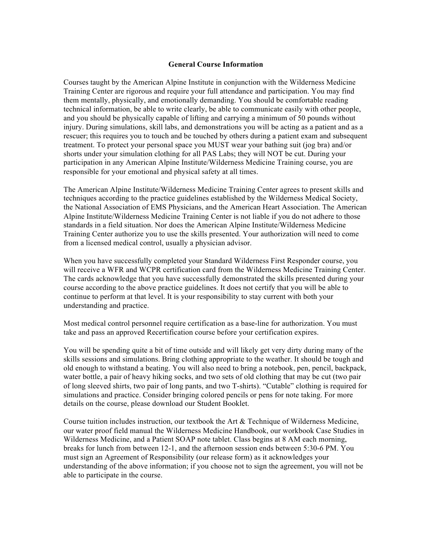#### **General Course Information**

Courses taught by the American Alpine Institute in conjunction with the Wilderness Medicine Training Center are rigorous and require your full attendance and participation. You may find them mentally, physically, and emotionally demanding. You should be comfortable reading technical information, be able to write clearly, be able to communicate easily with other people, and you should be physically capable of lifting and carrying a minimum of 50 pounds without injury. During simulations, skill labs, and demonstrations you will be acting as a patient and as a rescuer; this requires you to touch and be touched by others during a patient exam and subsequent treatment. To protect your personal space you MUST wear your bathing suit (jog bra) and/or shorts under your simulation clothing for all PAS Labs; they will NOT be cut. During your participation in any American Alpine Institute/Wilderness Medicine Training course, you are responsible for your emotional and physical safety at all times.

The American Alpine Institute/Wilderness Medicine Training Center agrees to present skills and techniques according to the practice guidelines established by the Wilderness Medical Society, the National Association of EMS Physicians, and the American Heart Association. The American Alpine Institute/Wilderness Medicine Training Center is not liable if you do not adhere to those standards in a field situation. Nor does the American Alpine Institute/Wilderness Medicine Training Center authorize you to use the skills presented. Your authorization will need to come from a licensed medical control, usually a physician advisor.

When you have successfully completed your Standard Wilderness First Responder course, you will receive a WFR and WCPR certification card from the Wilderness Medicine Training Center. The cards acknowledge that you have successfully demonstrated the skills presented during your course according to the above practice guidelines. It does not certify that you will be able to continue to perform at that level. It is your responsibility to stay current with both your understanding and practice.

Most medical control personnel require certification as a base-line for authorization. You must take and pass an approved Recertification course before your certification expires.

You will be spending quite a bit of time outside and will likely get very dirty during many of the skills sessions and simulations. Bring clothing appropriate to the weather. It should be tough and old enough to withstand a beating. You will also need to bring a notebook, pen, pencil, backpack, water bottle, a pair of heavy hiking socks, and two sets of old clothing that may be cut (two pair of long sleeved shirts, two pair of long pants, and two T-shirts). "Cutable" clothing is required for simulations and practice. Consider bringing colored pencils or pens for note taking. For more details on the course, please download our Student Booklet.

Course tuition includes instruction, our textbook the Art  $\&$  Technique of Wilderness Medicine, our water proof field manual the Wilderness Medicine Handbook, our workbook Case Studies in Wilderness Medicine, and a Patient SOAP note tablet. Class begins at 8 AM each morning, breaks for lunch from between 12-1, and the afternoon session ends between 5:30-6 PM. You must sign an Agreement of Responsibility (our release form) as it acknowledges your understanding of the above information; if you choose not to sign the agreement, you will not be able to participate in the course.